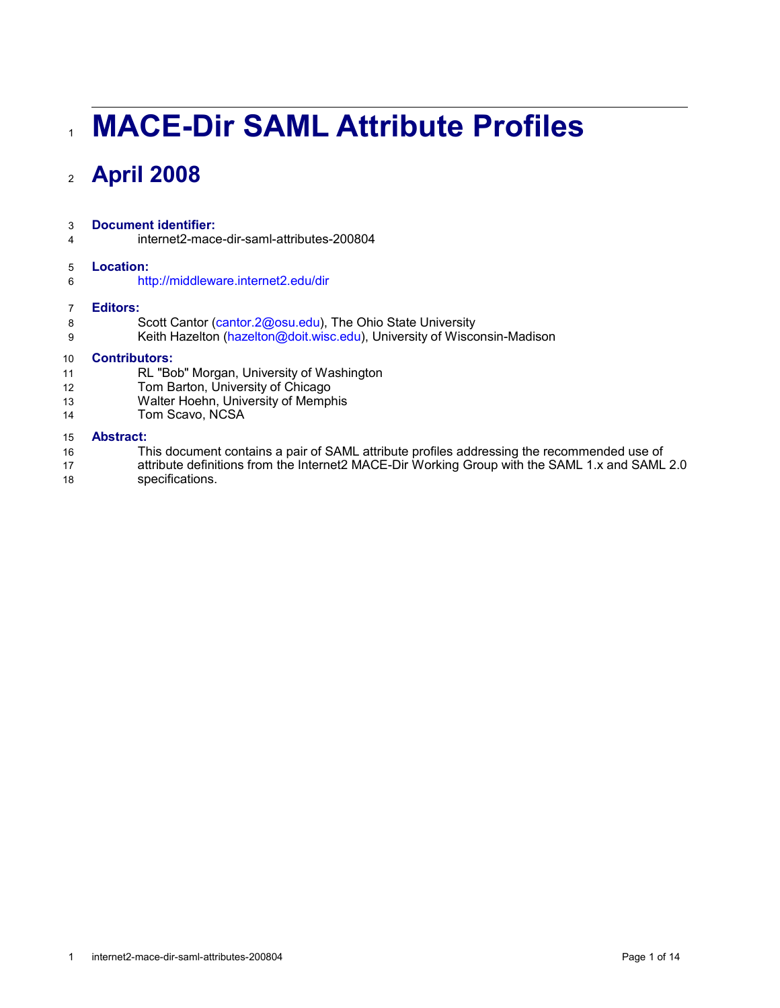# **MACE-Dir SAML Attribute Profiles** 1

# **April 2008** 2

#### **Document identifier:** 3

internet2-mace-dir-saml-attributes-200804 4

#### **Location:** 5

<http://middleware.internet2.edu/dir> 6

#### **Editors:** 7

8

- Scott Cantor [\(cantor.2@osu.edu\)](mailto:cantor.2@osu.edu), The Ohio State University
- Keith Hazelton [\(hazelton@doit.wisc.edu\)](mailto:hazelton@doit.wisc.edu), University of Wisconsin-Madison 9

#### **Contributors:** 10

- RL "Bob" Morgan, University of Washington 11
- Tom Barton, University of Chicago 12
- Walter Hoehn, University of Memphis 13
- Tom Scavo, NCSA 14

#### **Abstract:** 15

- This document contains a pair of SAML attribute profiles addressing the recommended use of 16
- attribute definitions from the Internet2 MACE-Dir Working Group with the SAML 1.x and SAML 2.0 17
- specifications. 18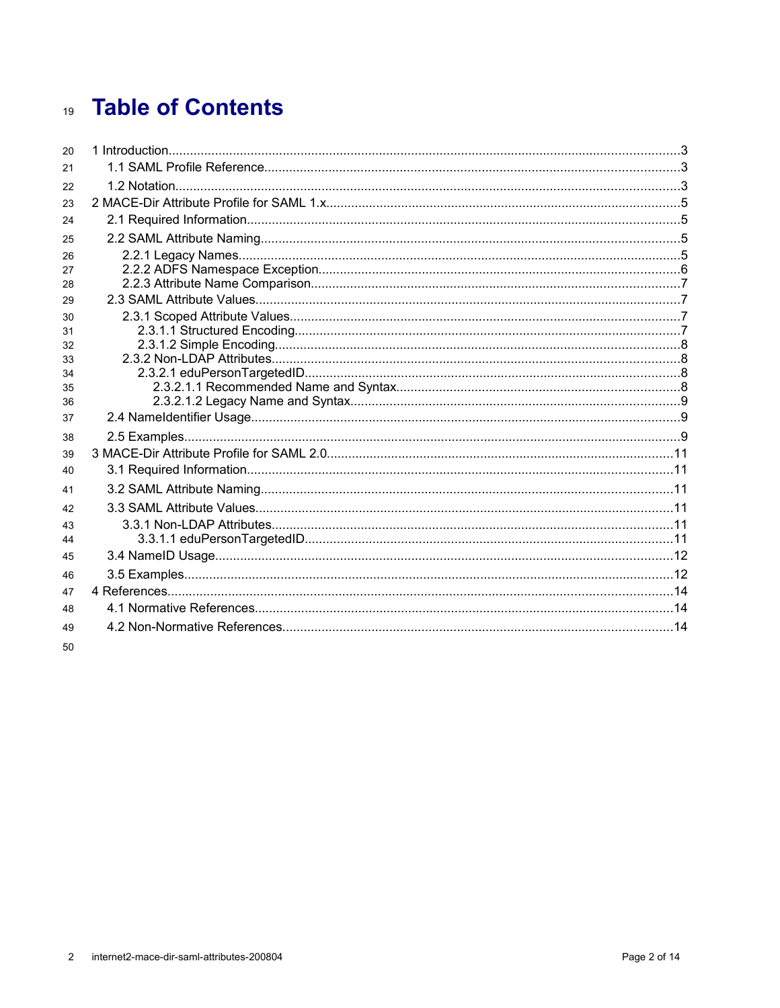# 19 Table of Contents

| 20       |  |
|----------|--|
| 21       |  |
| 22       |  |
| 23       |  |
| 24       |  |
| 25       |  |
| 26       |  |
| 27       |  |
| 28       |  |
| 29       |  |
| 30       |  |
| 31       |  |
| 32       |  |
| 33       |  |
| 34       |  |
| 35<br>36 |  |
| 37       |  |
|          |  |
| 38       |  |
| 39       |  |
| 40       |  |
| 41       |  |
| 42       |  |
| 43       |  |
| 44       |  |
| 45       |  |
| 46       |  |
| 47       |  |
| 48       |  |
| 49       |  |
| 50       |  |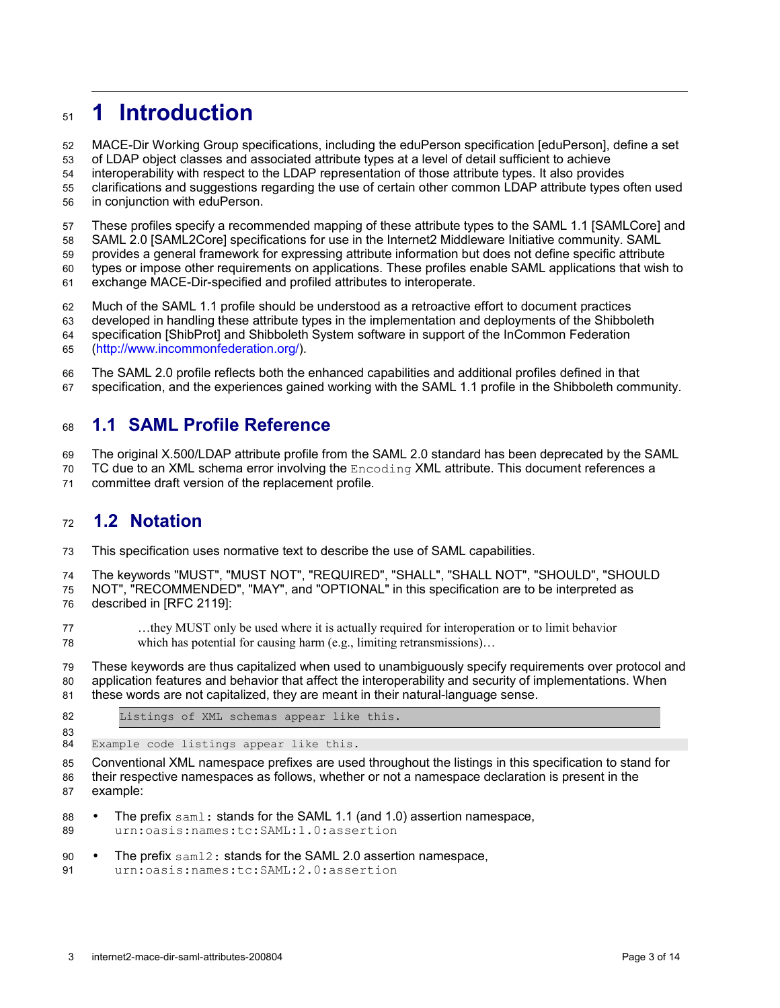# **1 Introduction** 51

MACE-Dir Working Group specifications, including the eduPerson specification [\[eduPerson\],](#page-13-4) define a set 52

of LDAP object classes and associated attribute types at a level of detail sufficient to achieve 53

interoperability with respect to the LDAP representation of those attribute types. It also provides 54

clarifications and suggestions regarding the use of certain other common LDAP attribute types often used in conjunction with eduPerson. 55 56

These profiles specify a recommended mapping of these attribute types to the SAML 1.1 [\[SAMLCore\]](#page-13-3) and 57

SAML 2.0 [\[SAML2Core\]](#page-13-2) specifications for use in the Internet2 Middleware Initiative community. SAML 58

provides a general framework for expressing attribute information but does not define specific attribute types or impose other requirements on applications. These profiles enable SAML applications that wish to 59 60

exchange MACE-Dir-specified and profiled attributes to interoperate. 61

Much of the SAML 1.1 profile should be understood as a retroactive effort to document practices 62

developed in handling these attribute types in the implementation and deployments of the Shibboleth 63

specification [\[ShibProt\]](#page-13-1) and Shibboleth System software in support of the InCommon Federation 64

[\(http://www.incommonfederation.org/\)](http://www.incommonfederation.org/). 65

The SAML 2.0 profile reflects both the enhanced capabilities and additional profiles defined in that 66

specification, and the experiences gained working with the SAML 1.1 profile in the Shibboleth community. 67

## **1.1 SAML Profile Reference** 68

The original X.500/LDAP attribute profile from the SAML 2.0 standard has been deprecated by the SAML 69

TC due to an XML schema error involving the Encoding XML attribute. This document references a 70

committee draft version of the replacement profile. 71

## **1.2 Notation** 72

This specification uses normative text to describe the use of SAML capabilities. 73

The keywords "MUST", "MUST NOT", "REQUIRED", "SHALL", "SHALL NOT", "SHOULD", "SHOULD 74

NOT", "RECOMMENDED", "MAY", and "OPTIONAL" in this specification are to be interpreted as 75

described in [\[RFC 2119\]:](#page-13-0) 76

…they MUST only be used where it is actually required for interoperation or to limit behavior which has potential for causing harm (e.g., limiting retransmissions)... 77 78

These keywords are thus capitalized when used to unambiguously specify requirements over protocol and application features and behavior that affect the interoperability and security of implementations. When these words are not capitalized, they are meant in their natural-language sense. 79 80 81

Listings of XML schemas appear like this. 82 83

Example code listings appear like this. 84

Conventional XML namespace prefixes are used throughout the listings in this specification to stand for their respective namespaces as follows, whether or not a namespace declaration is present in the example: 85 86 87

- The prefix  $sam1$ : stands for the SAML 1.1 (and 1.0) assertion namespace, urn:oasis:names:tc:SAML:1.0:assertion 88 89
- The prefix saml2: stands for the SAML 2.0 assertion namespace, 90

```
urn:oasis:names:tc:SAML:2.0:assertion
```
91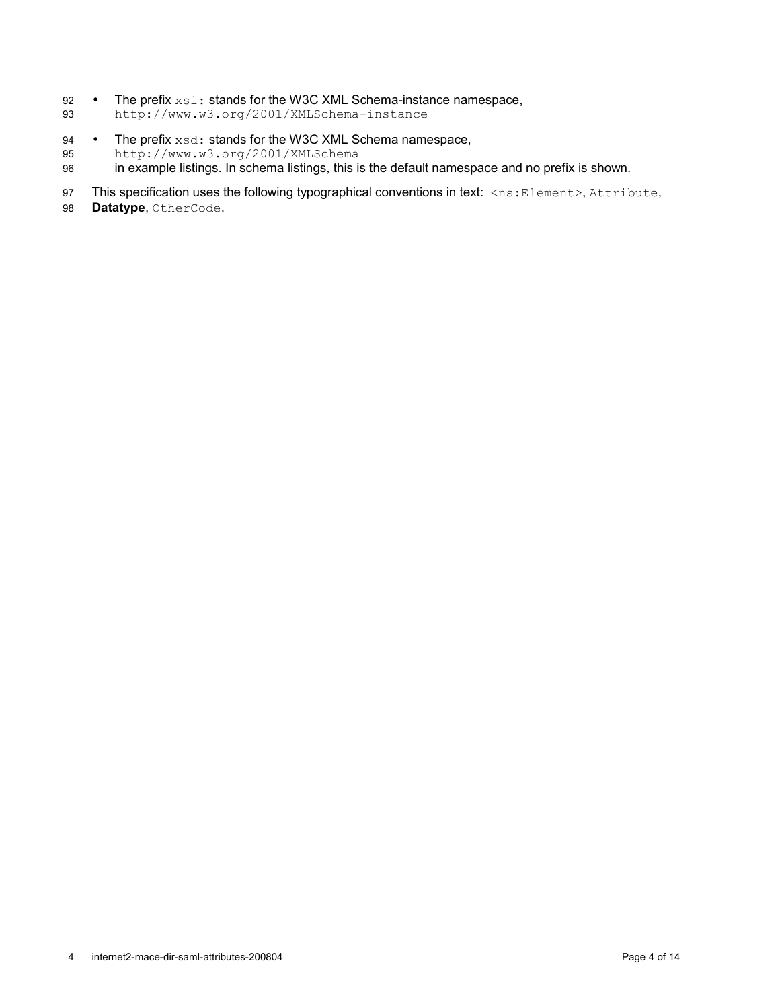- The prefix  $xsi:$  stands for the W3C XML Schema-instance namespace, 92
- http://www.w3.org/2001/XMLSchema-instance 93
- The prefix  $xsd$ : stands for the W3C XML Schema namespace, 94
- http://www.w3.org/2001/XMLSchema 95
- in example listings. In schema listings, this is the default namespace and no prefix is shown. 96
- This specification uses the following typographical conventions in text: <ns:Element>, Attribute, 97
- **Datatype**, OtherCode. 98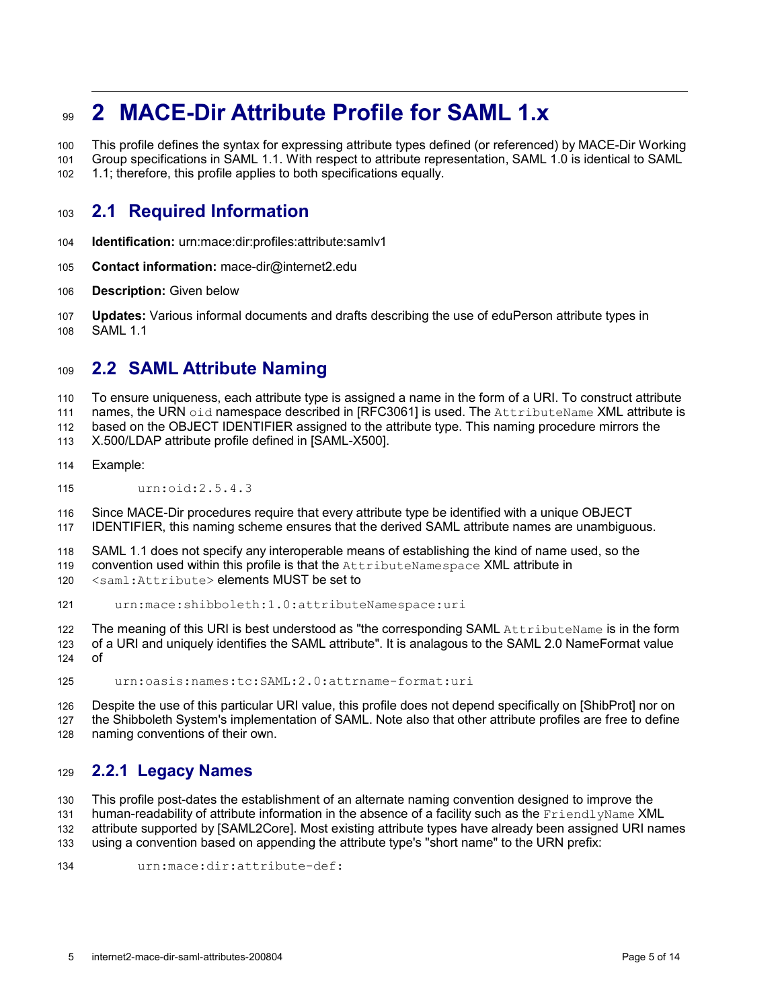# **2 MACE-Dir Attribute Profile for SAML 1.x 99**

This profile defines the syntax for expressing attribute types defined (or referenced) by MACE-Dir Working Group specifications in SAML 1.1. With respect to attribute representation, SAML 1.0 is identical to SAML 100

1.1; therefore, this profile applies to both specifications equally. 101 102

## **2.1 Required Information** 103

- **Identification:** urn:mace:dir:profiles:attribute:samlv1 104
- **Contact information:** mace-dir@internet2.edu 105
- **Description:** Given below 106
- **Updates:** Various informal documents and drafts describing the use of eduPerson attribute types in SAML 1.1 107 108

## <span id="page-4-0"></span>**2.2 SAML Attribute Naming** 109

To ensure uniqueness, each attribute type is assigned a name in the form of a URI. To construct attribute 110

names, the URN oid namespace described in [\[RFC3061\]](#page-13-6) is used. The AttributeName XML attribute is 111

based on the OBJECT IDENTIFIER assigned to the attribute type. This naming procedure mirrors the 112

X.500/LDAP attribute profile defined in [\[SAML-X500\].](#page-13-5) 113

- Example: 114
- urn:oid:2.5.4.3 115

Since MACE-Dir procedures require that every attribute type be identified with a unique OBJECT 116

IDENTIFIER, this naming scheme ensures that the derived SAML attribute names are unambiguous. 117

SAML 1.1 does not specify any interoperable means of establishing the kind of name used, so the convention used within this profile is that the AttributeNamespace XML attribute in 118 119

<saml:Attribute> elements MUST be set to 120

urn:mace:shibboleth:1.0:attributeNamespace:uri 121

The meaning of this URI is best understood as "the corresponding SAML AttributeName is in the form 122

of a URI and uniquely identifies the SAML attribute". It is analagous to the SAML 2.0 NameFormat value of 123 124

urn:oasis:names:tc:SAML:2.0:attrname-format:uri 125

Despite the use of this particular URI value, this profile does not depend specifically on [\[ShibProt\]](#page-13-1) nor on the Shibboleth System's implementation of SAML. Note also that other attribute profiles are free to define naming conventions of their own. 126 127 128

## **2.2.1 Legacy Names** 129

This profile post-dates the establishment of an alternate naming convention designed to improve the 130

human-readability of attribute information in the absence of a facility such as the FriendlyName XML 131

attribute supported by [\[SAML2Core\].](#page-13-2) Most existing attribute types have already been assigned URI names 132

using a convention based on appending the attribute type's "short name" to the URN prefix: 133

urn:mace:dir:attribute-def: 134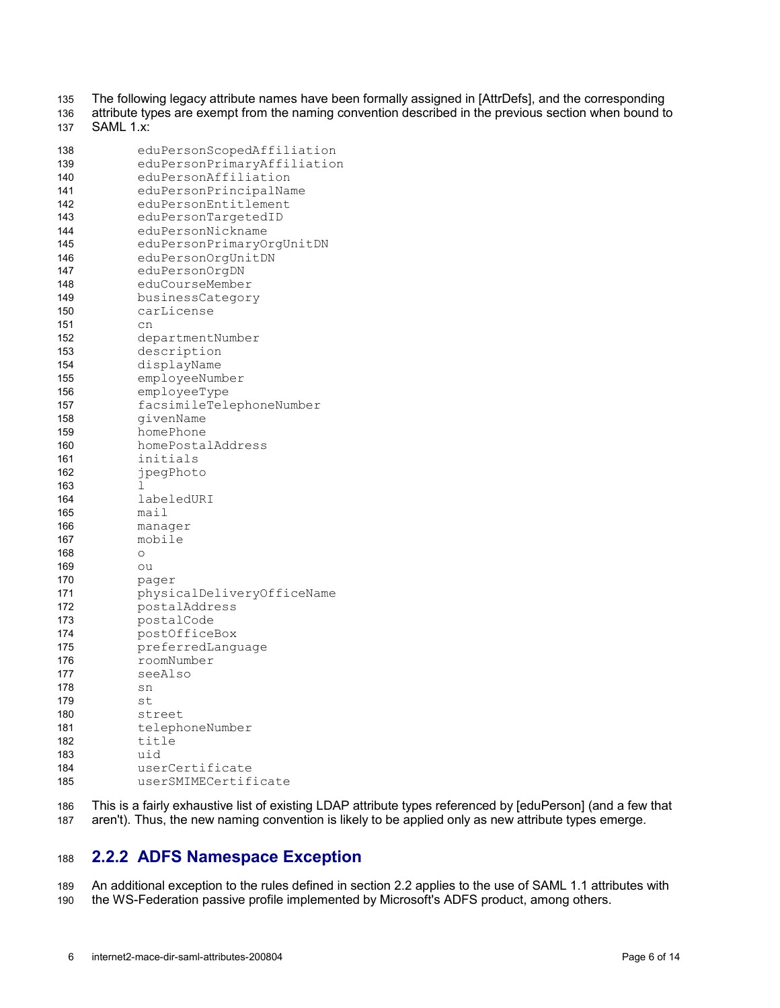The following legacy attribute names have been formally assigned in [\[AttrDefs\],](#page-13-7) and the corresponding 135

attribute types are exempt from the naming convention described in the previous section when bound to SAML 1.x: 136 137

| 138 | eduPersonScopedAffiliation  |
|-----|-----------------------------|
| 139 | eduPersonPrimaryAffiliation |
| 140 | eduPersonAffiliation        |
| 141 | eduPersonPrincipalName      |
| 142 | eduPersonEntitlement        |
| 143 | eduPersonTargetedID         |
| 144 | eduPersonNickname           |
| 145 | eduPersonPrimaryOrgUnitDN   |
| 146 | eduPersonOrqUnitDN          |
| 147 | eduPersonOrgDN              |
| 148 | eduCourseMember             |
| 149 | businessCategory            |
| 150 | carLicense                  |
| 151 | cn                          |
| 152 | departmentNumber            |
| 153 | description                 |
| 154 | displayName                 |
| 155 | employeeNumber              |
| 156 | employeeType                |
| 157 | facsimileTelephoneNumber    |
| 158 | qivenName                   |
| 159 | homePhone                   |
| 160 | homePostalAddress           |
| 161 | initials                    |
| 162 | jpegPhoto                   |
| 163 | 1                           |
| 164 | labeledURI                  |
| 165 | mail                        |
| 166 | manager                     |
| 167 | mobile                      |
| 168 | $\circ$                     |
| 169 | ou                          |
| 170 | pager                       |
| 171 | physicalDeliveryOfficeName  |
| 172 | postalAddress               |
| 173 | postalCode                  |
| 174 | postOfficeBox               |
| 175 | preferredLanguage           |
| 176 | roomNumber                  |
| 177 | seeAlso                     |
| 178 | sn                          |
| 179 | st                          |
| 180 | street                      |
| 181 | telephoneNumber             |
| 182 | title                       |
| 183 | uid                         |
| 184 | userCertificate             |
| 185 | userSMIMECertificate        |

This is a fairly exhaustive list of existing LDAP attribute types referenced by [\[eduPerson\]](#page-13-4) (and a few that aren't). Thus, the new naming convention is likely to be applied only as new attribute types emerge. 186 187

## **2.2.2 ADFS Namespace Exception** 188

An additional exception to the rules defined in section [2.2](#page-4-0) applies to the use of SAML 1.1 attributes with the WS-Federation passive profile implemented by Microsoft's ADFS product, among others. 189 190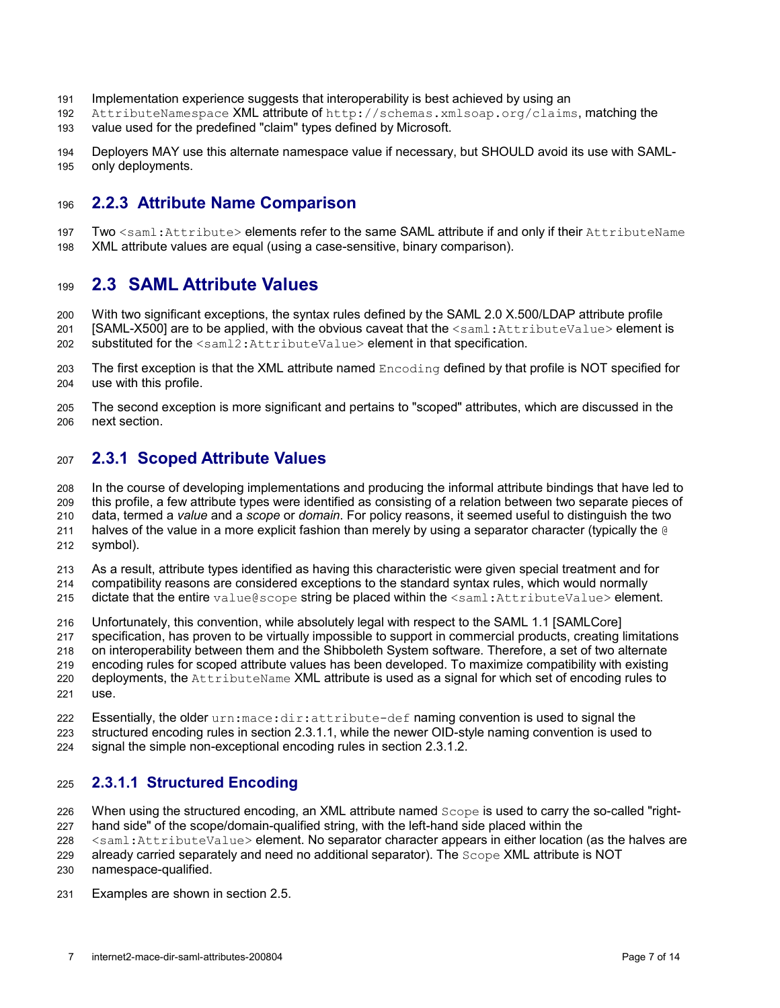- Implementation experience suggests that interoperability is best achieved by using an 191
- AttributeNamespace XML attribute of http://schemas.xmlsoap.org/claims, matching the 192
- value used for the predefined "claim" types defined by Microsoft. 193
- Deployers MAY use this alternate namespace value if necessary, but SHOULD avoid its use with SAMLonly deployments. 194 195

#### **2.2.3 Attribute Name Comparison** 196

Two <saml: Attribute> elements refer to the same SAML attribute if and only if their AttributeName XML attribute values are equal (using a case-sensitive, binary comparison). 197 198

## **2.3 SAML Attribute Values** 199

<span id="page-6-1"></span>With two significant exceptions, the syntax rules defined by the SAML 2.0 X.500/LDAP attribute profile [\[SAML-X500\]](#page-13-5)are to be applied, with the obvious caveat that the <saml:AttributeValue> element is 200 201

substituted for the <saml2: AttributeValue> element in that specification. 202

- The first exception is that the XML attribute named Encoding defined by that profile is NOT specified for use with this profile. 203 204
- The second exception is more significant and pertains to "scoped" attributes, which are discussed in the next section. 205 206

#### **2.3.1 Scoped Attribute Values** 207

In the course of developing implementations and producing the informal attribute bindings that have led to this profile, a few attribute types were identified as consisting of a relation between two separate pieces of data, termed a *value* and a *scope* or *domain*. For policy reasons, it seemed useful to distinguish the two halves of the value in a more explicit fashion than merely by using a separator character (typically the @ symbol). 208 209 210 211 212

- As a result, attribute types identified as having this characteristic were given special treatment and for compatibility reasons are considered exceptions to the standard syntax rules, which would normally 213 214
- dictate that the entire value@scope string be placed within the <saml:AttributeValue> element. 215
- Unfortunately, this convention, while absolutely legal with respect to the SAML 1.1 [\[SAMLCore\]](#page-13-3) 216
- specification, has proven to be virtually impossible to support in commercial products, creating limitations 217
- on interoperability between them and the Shibboleth System software. Therefore, a set of two alternate 218
- encoding rules for scoped attribute values has been developed. To maximize compatibility with existing deployments, the AttributeName XML attribute is used as a signal for which set of encoding rules to 219 220
- use. 221
- Essentially, the older urn:mace:dir:attribute-def naming convention is used to signal the structured encoding rules in section [2.3.1.1,](#page-6-0) while the newer OID-style naming convention is used to 222 223
- signal the simple non-exceptional encoding rules in section [2.3.1.2.](#page-7-0) 224

#### <span id="page-6-0"></span>**2.3.1.1 Structured Encoding** 225

When using the structured encoding, an XML attribute named Scope is used to carry the so-called "right-226

- hand side" of the scope/domain-qualified string, with the left-hand side placed within the 227
- <saml:AttributeValue> element. No separator character appears in either location (as the halves are 228
- already carried separately and need no additional separator). The Scope XML attribute is NOT 229
- namespace-qualified. 230
- Examples are shown in section [2.5.](#page-8-0) 231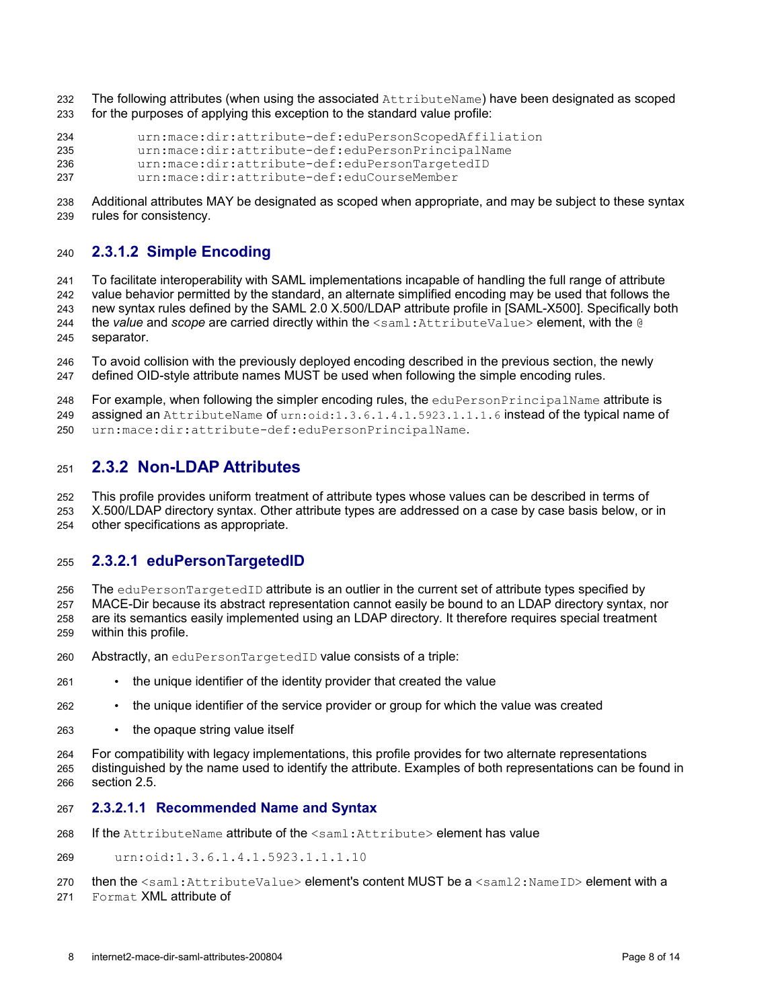- The following attributes (when using the associated AttributeName) have been designated as scoped for the purposes of applying this exception to the standard value profile: 232 233
- urn:mace:dir:attribute-def:eduPersonScopedAffiliation urn:mace:dir:attribute-def:eduPersonPrincipalName urn:mace:dir:attribute-def:eduPersonTargetedID urn:mace:dir:attribute-def:eduCourseMember 234 235 236 237
- 
- Additional attributes MAY be designated as scoped when appropriate, and may be subject to these syntax rules for consistency. 238 239

#### <span id="page-7-0"></span>**2.3.1.2 Simple Encoding** 240

To facilitate interoperability with SAML implementations incapable of handling the full range of attribute value behavior permitted by the standard, an alternate simplified encoding may be used that follows the new syntax rules defined by the SAML 2.0 X.500/LDAP attribute profile in [\[SAML-X500\].](#page-13-5) Specifically both the *value* and *scope* are carried directly within the  $\le$ saml:AttributeValue> element, with the @ separator.  $241$ 242 243 244 245

To avoid collision with the previously deployed encoding described in the previous section, the newly defined OID-style attribute names MUST be used when following the simple encoding rules.  $246$ 247

For example, when following the simpler encoding rules, the eduPersonPrincipalName attribute is assigned an AttributeName of urn:oid:1.3.6.1.4.1.5923.1.1.1.6 instead of the typical name of 248 249

urn:mace:dir:attribute-def:eduPersonPrincipalName. 250

#### **2.3.2 Non-LDAP Attributes** 251

This profile provides uniform treatment of attribute types whose values can be described in terms of X.500/LDAP directory syntax. Other attribute types are addressed on a case by case basis below, or in 252 253

other specifications as appropriate. 254

#### **2.3.2.1 eduPersonTargetedID** 255

The eduPersonTargetedID attribute is an outlier in the current set of attribute types specified by MACE-Dir because its abstract representation cannot easily be bound to an LDAP directory syntax, nor are its semantics easily implemented using an LDAP directory. It therefore requires special treatment within this profile. 256 257 258 259

- Abstractly, an eduPersonTargetedID value consists of a triple: 260
- the unique identifier of the identity provider that created the value 261
- the unique identifier of the service provider or group for which the value was created 262
- the opaque string value itself 263

For compatibility with legacy implementations, this profile provides for two alternate representations distinguished by the name used to identify the attribute. Examples of both representations can be found in section [2.5.](#page-8-0) 264 265 266

#### **2.3.2.1.1 Recommended Name and Syntax** 267

- If the AttributeName attribute of the <saml:Attribute> element has value 268
- urn:oid:1.3.6.1.4.1.5923.1.1.1.10 269

then the <saml:AttributeValue> element's content MUST be a <saml2:NameID> element with a Format XML attribute of 270 271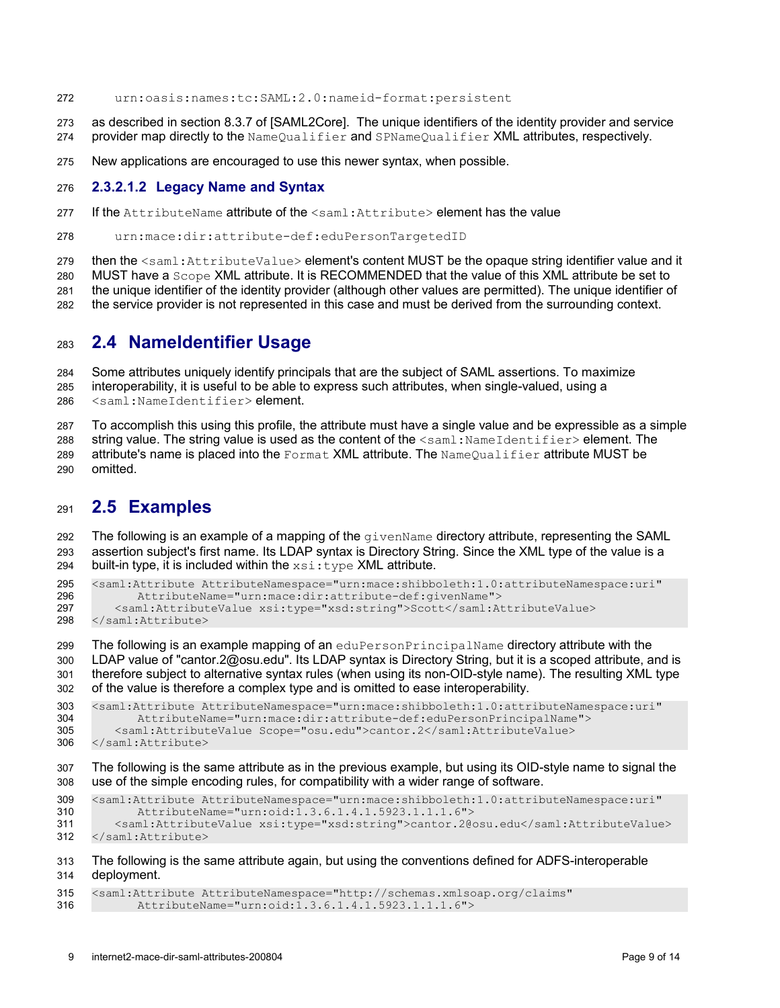- urn:oasis:names:tc:SAML:2.0:nameid-format:persistent 272
- as described in section 8.3.7 of [\[SAML2Core\].](#page-13-2) The unique identifiers of the identity provider and service provider map directly to the NameQualifier and SPNameQualifier XML attributes, respectively. 273 274
- New applications are encouraged to use this newer syntax, when possible. 275

#### **2.3.2.1.2 Legacy Name and Syntax** 276

- If the AttributeName attribute of the  $\leq$ saml:Attribute> element has the value 277
- urn:mace:dir:attribute-def:eduPersonTargetedID 278

then the <saml:AttributeValue> element's content MUST be the opaque string identifier value and it 279

MUST have a Scope XML attribute. It is RECOMMENDED that the value of this XML attribute be set to 280

the unique identifier of the identity provider (although other values are permitted). The unique identifier of 281

the service provider is not represented in this case and must be derived from the surrounding context. 282

#### **2.4 NameIdentifier Usage** 283

Some attributes uniquely identify principals that are the subject of SAML assertions. To maximize interoperability, it is useful to be able to express such attributes, when single-valued, using a <saml:NameIdentifier> element. 284 285 286

To accomplish this using this profile, the attribute must have a single value and be expressible as a simple string value. The string value is used as the content of the  $\leq$ saml: NameIdentifier> element. The attribute's name is placed into the Format XML attribute. The NameQualifier attribute MUST be 287 288 289

omitted. 290

#### <span id="page-8-0"></span>**2.5 Examples** 291

The following is an example of a mapping of the  $q$  ivenName directory attribute, representing the SAML assertion subject's first name. Its LDAP syntax is Directory String. Since the XML type of the value is a built-in type, it is included within the  $xsi:type$  XML attribute. 292 293 294

<saml:Attribute AttributeNamespace="urn:mace:shibboleth:1.0:attributeNamespace:uri" AttributeName="urn:mace:dir:attribute-def:givenName"> 295 296

- <saml:AttributeValue xsi:type="xsd:string">Scott</saml:AttributeValue> 297
- </saml:Attribute> 298

The following is an example mapping of an eduPersonPrincipalName directory attribute with the LDAP value of "cantor.2@osu.edu". Its LDAP syntax is Directory String, but it is a scoped attribute, and is therefore subject to alternative syntax rules (when using its non-OID-style name). The resulting XML type of the value is therefore a complex type and is omitted to ease interoperability. 299 300 301 302

<saml:Attribute AttributeNamespace="urn:mace:shibboleth:1.0:attributeNamespace:uri" AttributeName="urn:mace:dir:attribute-def:eduPersonPrincipalName"> <saml:AttributeValue Scope="osu.edu">cantor.2</saml:AttributeValue> 303 304 305

</saml:Attribute> 306

The following is the same attribute as in the previous example, but using its OID-style name to signal the use of the simple encoding rules, for compatibility with a wider range of software. 307 308

```
<saml:Attribute AttributeNamespace="urn:mace:shibboleth:1.0:attributeNamespace:uri"
           AttributeName="urn:oid:1.3.6.1.4.1.5923.1.1.1.6">
        <saml:AttributeValue xsi:type="xsd:string">cantor.2@osu.edu</saml:AttributeValue>
     </saml:Attribute>
309
310
311
312
```
#### The following is the same attribute again, but using the conventions defined for ADFS-interoperable deployment. 313 314

<saml:Attribute AttributeNamespace="http://schemas.xmlsoap.org/claims" AttributeName="urn:oid:1.3.6.1.4.1.5923.1.1.1.6"> 315 316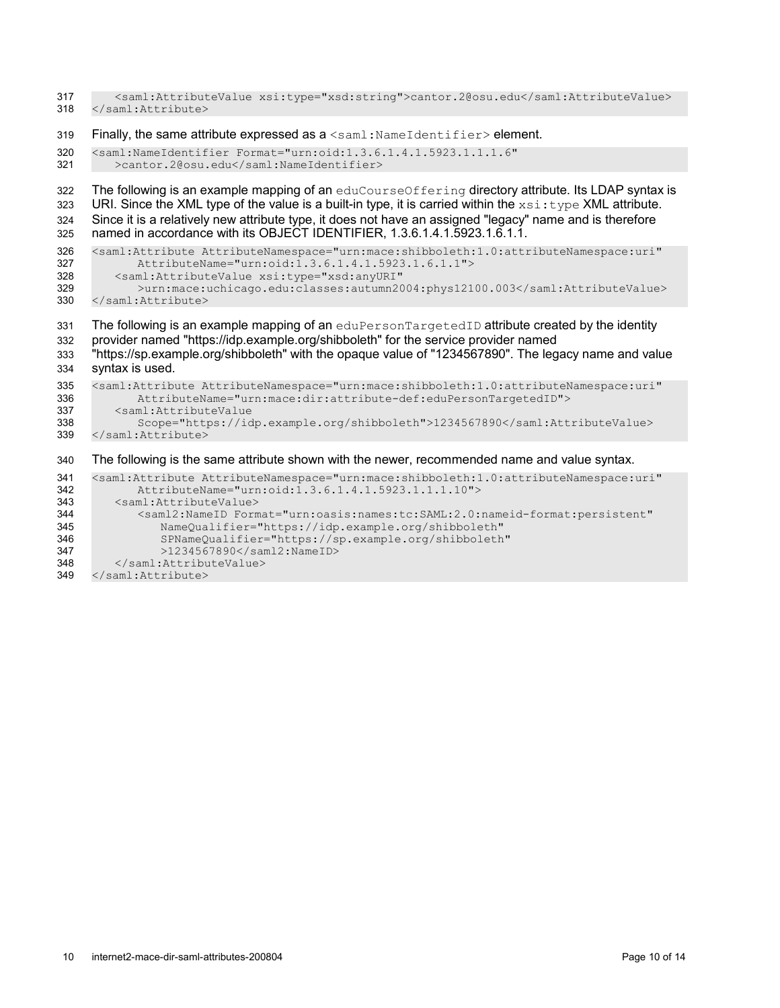| 317               | <saml:attributevalue xsi:type="xsd:string">cantor.2@osu.edu</saml:attributevalue>                                   |
|-------------------|---------------------------------------------------------------------------------------------------------------------|
| 318               |                                                                                                                     |
| 319<br>320<br>321 | Finally, the same attribute expressed as $a$ < saml: $NameIdentifier$ > element.                                    |
|                   | <saml:nameidentifier <br="" format="urn:oid:1.3.6.1.4.1.5923.1.1.1.6">&gt;cantor.2@osu.edu</saml:nameidentifier>    |
| 322               | The following is an example mapping of an eduCourseOffering directory attribute. Its LDAP syntax is                 |
| 323               | URI. Since the XML type of the value is a built-in type, it is carried within the $xsi : type \times ML$ attribute. |
| 324               | Since it is a relatively new attribute type, it does not have an assigned "legacy" name and is therefore            |
| 325               | named in accordance with its OBJECT IDENTIFIER, 1.3.6.1.4.1.5923.1.6.1.1.                                           |
| 326               | <saml:attribute <="" attributenamespace="urn:mace:shibboleth:1.0:attributeNamespace:uri" td=""></saml:attribute>    |
| 327               | AttributeName="urn:oid:1.3.6.1.4.1.5923.1.6.1.1">                                                                   |
| 328               | <saml:attributevalue <="" td="" xsi:type="xsd:anyURI"></saml:attributevalue>                                        |
| 329               | >urn:mace:uchicago.edu:classes:autumn2004:phys12100.003                                                             |
| 330               |                                                                                                                     |
| 331               | The following is an example mapping of an eduPersonTargetedID attribute created by the identity                     |
| 332               | provider named "https://idp.example.org/shibboleth" for the service provider named                                  |
| 333               | "https://sp.example.org/shibboleth" with the opaque value of "1234567890". The legacy name and value                |
| 334               | syntax is used.                                                                                                     |
| 335               | <saml:attribute <="" attributenamespace="urn:mace:shibboleth:1.0:attributeNamespace:uri" td=""></saml:attribute>    |
| 336               | AttributeName="urn:mace:dir:attribute-def:eduPersonTargetedID">                                                     |
| 337               | <saml:attributevalue< td=""></saml:attributevalue<>                                                                 |
| 338               | Scope="https://idp.example.org/shibboleth">1234567890                                                               |
| 339               |                                                                                                                     |
| 340               | The following is the same attribute shown with the newer, recommended name and value syntax.                        |
| 341               | <saml:attribute <="" attributenamespace="urn:mace:shibboleth:1.0:attributeNamespace:uri" td=""></saml:attribute>    |
| 342               | AttributeName="urn:oid:1.3.6.1.4.1.5923.1.1.1.10">                                                                  |
| 343               | <saml:attributevalue></saml:attributevalue>                                                                         |
| 344               | <saml2:nameid <="" format="urn:oasis:names:tc:SAML:2.0:nameid-format:persistent" td=""></saml2:nameid>              |
| 345               | NameQualifier="https://idp.example.org/shibboleth"                                                                  |
| 346               | SPNameQualifier="https://sp.example.org/shibboleth"                                                                 |
| 347               | $>1234567890$                                                                                                       |

- </saml:AttributeValue> </saml:Attribute> 348
- 349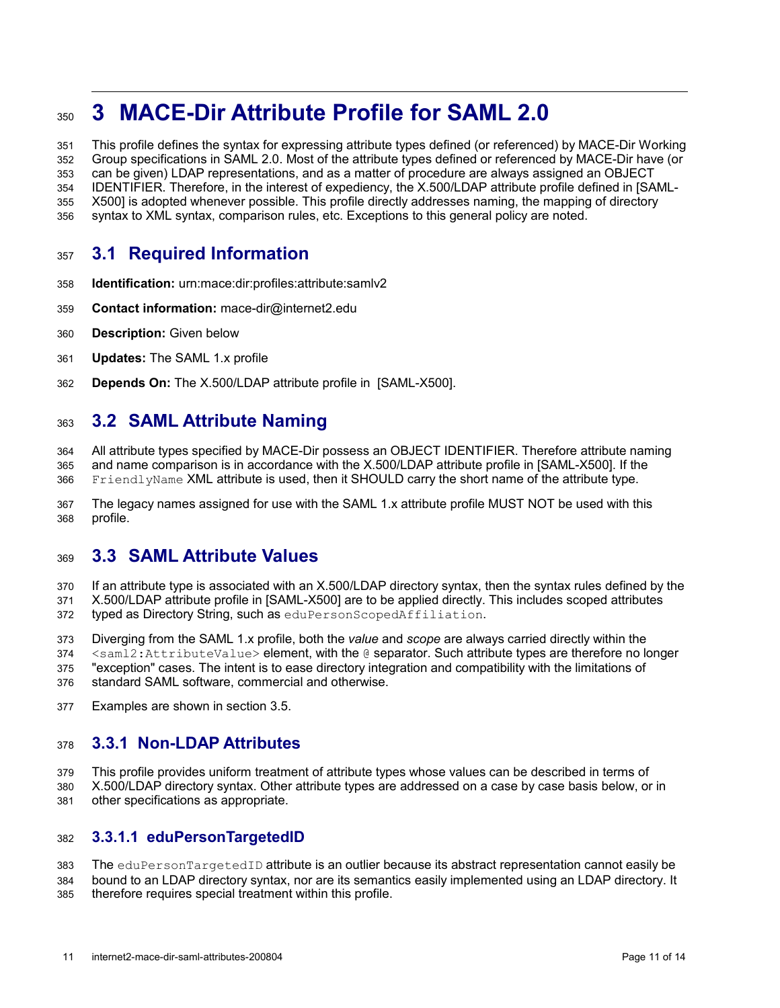# **3 MACE-Dir Attribute Profile for SAML 2.0** 350

This profile defines the syntax for expressing attribute types defined (or referenced) by MACE-Dir Working Group specifications in SAML 2.0. Most of the attribute types defined or referenced by MACE-Dir have (or can be given) LDAP representations, and as a matter of procedure are always assigned an OBJECT IDENTIFIER. Therefore, in the interest of expediency, the X.500/LDAP attribute profile defined in [\[SAML-](#page-13-5)[X500\]](#page-13-5)is adopted whenever possible. This profile directly addresses naming, the mapping of directory syntax to XML syntax, comparison rules, etc. Exceptions to this general policy are noted. 351 352 353 354 355 356

# <span id="page-10-3"></span>**3.1 Required Information** 357

- **Identification:** urn:mace:dir:profiles:attribute:samlv2 358
- **Contact information:** mace-dir@internet2.edu 359
- **Description:** Given below 360
- **Updates:** The SAML 1.x profile 361
- <span id="page-10-2"></span>**Depends On:** The X.500/LDAP attribute profile in [\[SAML-X500\]](#page-13-5)[.](#page-10-2) 362

#### **3.2 SAML Attribute Naming** 363

<span id="page-10-1"></span>All attribute types specified by MACE-Dir possess an OBJECT IDENTIFIER. Therefore attribute naming and name comparison is in accordance with the X.500/LDAP attribute profile in [\[SAML-X500\]](#page-13-5)[.](#page-10-1) If the FriendlyName XML attribute is used, then it SHOULD carry the short name of the attribute type. 364 365 366

The legacy names assigned for use with the SAML 1.x attribute profile MUST NOT be used with this profile. 367 368

#### **3.3 SAML Attribute Values** 369

If an attribute type is associated with an X.500/LDAP directory syntax, then the syntax rules defined by the 370

<span id="page-10-0"></span>X.500/LDAP attribute profile in [\[SAML-X500\]](#page-13-5)are to be applied directly. This includes scoped attributes typed as Directory String, such as eduPersonScopedAffiliation. 371 372

Diverging from the SAML 1.x profile, both the *value* and *scope* are always carried directly within the 373

<saml2:AttributeValue> element, with the @ separator. Such attribute types are therefore no longer 374

"exception" cases. The intent is to ease directory integration and compatibility with the limitations of standard SAML software, commercial and otherwise. 375 376

Examples are shown in section [3.5.](#page-11-0) 377

#### **3.3.1 Non-LDAP Attributes** 378

This profile provides uniform treatment of attribute types whose values can be described in terms of 379

X.500/LDAP directory syntax. Other attribute types are addressed on a case by case basis below, or in other specifications as appropriate. 380 381

#### **3.3.1.1 eduPersonTargetedID** 382

The eduPersonTargetedID attribute is an outlier because its abstract representation cannot easily be bound to an LDAP directory syntax, nor are its semantics easily implemented using an LDAP directory. It therefore requires special treatment within this profile. 383 384 385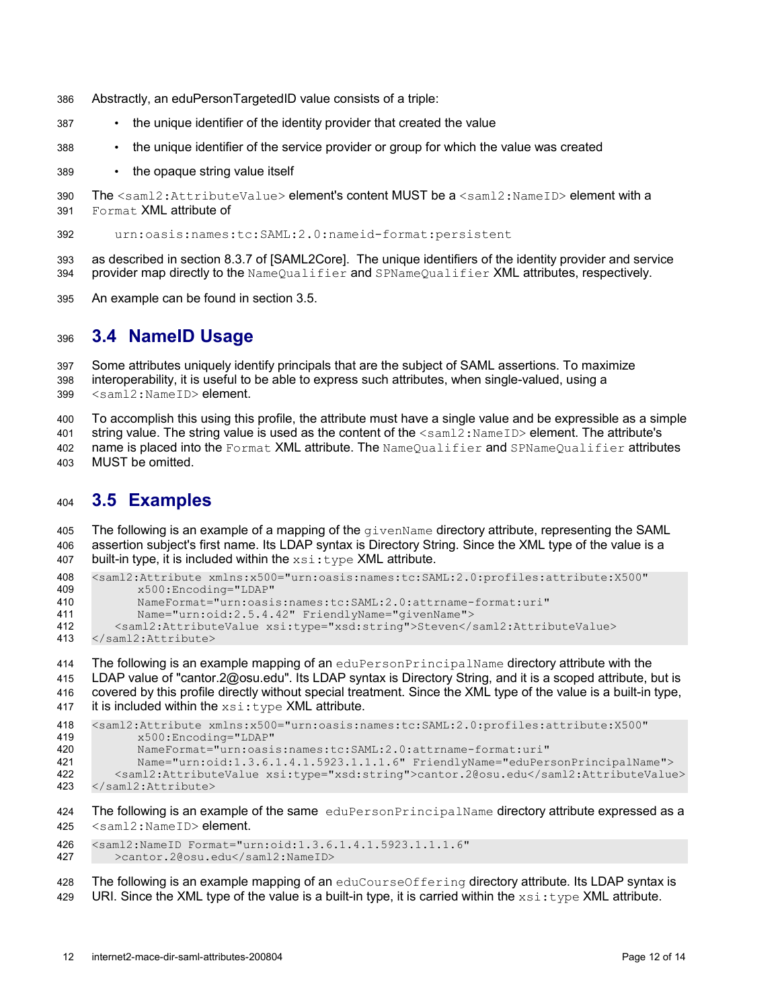- Abstractly, an eduPersonTargetedID value consists of a triple: 386
- the unique identifier of the identity provider that created the value 387
- the unique identifier of the service provider or group for which the value was created 388
- the opaque string value itself 389
- The  $\leq$ saml2: AttributeValue> element's content MUST be a  $\leq$ saml2: NameID> element with a Format XML attribute of 390 391
- urn:oasis:names:tc:SAML:2.0:nameid-format:persistent 392
- as described in section 8.3.7 of [\[SAML2Core\].](#page-13-2) The unique identifiers of the identity provider and service provider map directly to the NameQualifier and SPNameQualifier XML attributes, respectively. 393 394
- An example can be found in section [3.5.](#page-11-0) 395

#### **3.4 NameID Usage** 396

Some attributes uniquely identify principals that are the subject of SAML assertions. To maximize interoperability, it is useful to be able to express such attributes, when single-valued, using a <saml2:NameID> element. 397 398 399

- To accomplish this using this profile, the attribute must have a single value and be expressible as a simple 400
- string value. The string value is used as the content of the  $\leq$  sam12: NameID> element. The attribute's 401
- name is placed into the Format XML attribute. The NameQualifier and SPNameQualifier attributes MUST be omitted. 402 403

#### <span id="page-11-0"></span>**3.5 Examples** 404

The following is an example of a mapping of the givenName directory attribute, representing the SAML assertion subject's first name. Its LDAP syntax is Directory String. Since the XML type of the value is a built-in type, it is included within the  $xsi:type$  XML attribute. 405 406 407

```
<saml2:Attribute xmlns:x500="urn:oasis:names:tc:SAML:2.0:profiles:attribute:X500"
            x500:Encoding="LDAP"
            NameFormat="urn:oasis:names:tc:SAML:2.0:attrname-format:uri"
            Name="urn:oid:2.5.4.42" FriendlyName="givenName">
        <saml2:AttributeValue xsi:type="xsd:string">Steven</saml2:AttributeValue>
     </saml2:Attribute>
408
409
410
411
412
413
```
The following is an example mapping of an eduPersonPrincipalName directory attribute with the LDAP value of "cantor.2@osu.edu". Its LDAP syntax is Directory String, and it is a scoped attribute, but is covered by this profile directly without special treatment. Since the XML type of the value is a built-in type, it is included within the  $xsi:type$  XML attribute. 414 415 416 417

```
<saml2:Attribute xmlns:x500="urn:oasis:names:tc:SAML:2.0:profiles:attribute:X500"
           x500:Encoding="LDAP"
           NameFormat="urn:oasis:names:tc:SAML:2.0:attrname-format:uri"
           Name="urn:oid:1.3.6.1.4.1.5923.1.1.1.6" FriendlyName="eduPersonPrincipalName">
418
419
420
421
```

```
<saml2:AttributeValue xsi:type="xsd:string">cantor.2@osu.edu</saml2:AttributeValue>
     </saml2:Attribute>
422
423
```
The following is an example of the same eduPersonPrincipalName directory attribute expressed as a <saml2:NameID> element. 424 425

<saml2:NameID Format="urn:oid:1.3.6.1.4.1.5923.1.1.1.6" >cantor.2@osu.edu</saml2:NameID> 426 427

- The following is an example mapping of an eduCourseOffering directory attribute. Its LDAP syntax is 428
- URI. Since the XML type of the value is a built-in type, it is carried within the  $xsi:type$  XML attribute. 429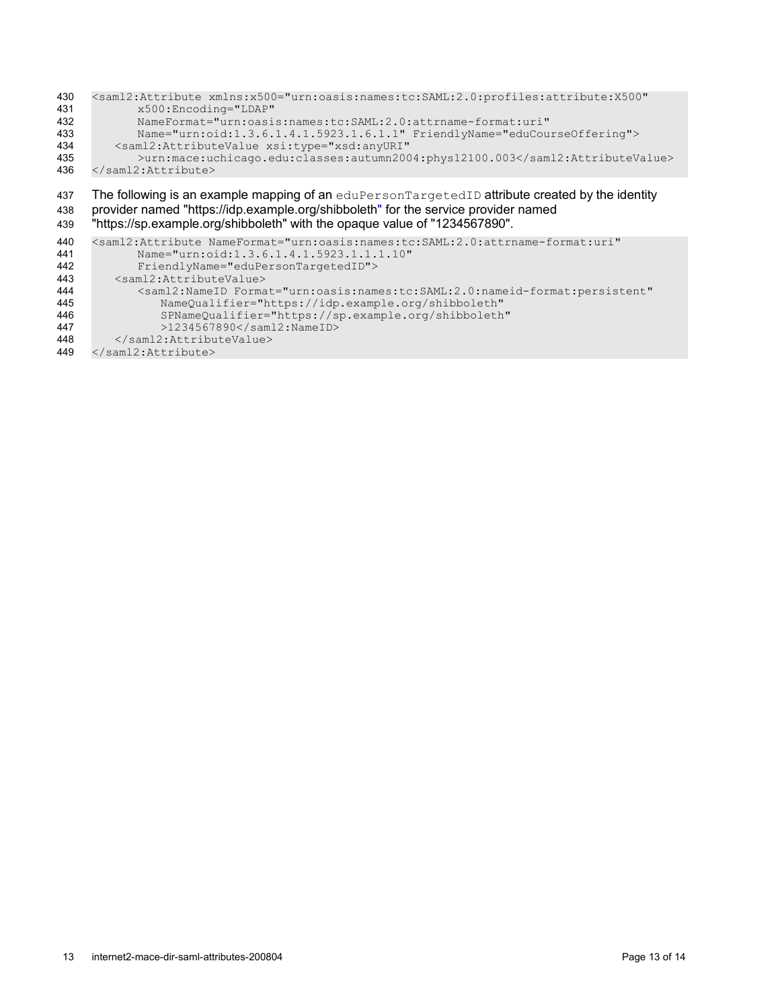| 430 | <saml2:attribute <="" th="" xmlns:x500="urn:oasis:names:tc:SAML:2.0:profiles:attribute:X500"></saml2:attribute> |  |  |  |  |
|-----|-----------------------------------------------------------------------------------------------------------------|--|--|--|--|
| 431 | x500:Encoding="LDAP"                                                                                            |  |  |  |  |
| 432 | NameFormat="urn:oasis:names:tc:SAML:2.0:attrname-format:uri"                                                    |  |  |  |  |
| 433 | Name="urn:oid:1.3.6.1.4.1.5923.1.6.1.1" FriendlyName="eduCourseOffering">                                       |  |  |  |  |
| 434 | <saml2:attributevalue <="" th="" xsi:type="xsd:anyURI"></saml2:attributevalue>                                  |  |  |  |  |
| 435 | >urn:mace:uchicago.edu:classes:autumn2004:phys12100.003                                                         |  |  |  |  |
| 436 |                                                                                                                 |  |  |  |  |
|     |                                                                                                                 |  |  |  |  |
| 437 | The following is an example mapping of an eduPersonTargetedID attribute created by the identity                 |  |  |  |  |
|     | provider named "https://idp.example.org/shibboleth" for the service provider named                              |  |  |  |  |
| 438 |                                                                                                                 |  |  |  |  |
|     |                                                                                                                 |  |  |  |  |
| 439 | "https://sp.example.org/shibboleth" with the opaque value of "1234567890".                                      |  |  |  |  |
| 440 | <saml2:attribute <="" nameformat="urn:oasis:names:tc:SAML:2.0:attrname-format:uri" th=""></saml2:attribute>     |  |  |  |  |
| 441 | Name="urn:oid:1.3.6.1.4.1.5923.1.1.1.10"                                                                        |  |  |  |  |
| 442 | FriendlyName="eduPersonTargetedID">                                                                             |  |  |  |  |
| 443 | <saml2:attributevalue></saml2:attributevalue>                                                                   |  |  |  |  |
| 444 | <saml2:nameid <="" format="urn:oasis:names:tc:SAML:2.0:nameid-format:persistent" th=""></saml2:nameid>          |  |  |  |  |
| 445 | NameQualifier="https://idp.example.org/shibboleth"                                                              |  |  |  |  |
| 446 | SPNameQualifier="https://sp.example.org/shibboleth"                                                             |  |  |  |  |
| 447 | >1234567890 < /sam12:NameID>                                                                                    |  |  |  |  |

</saml2:Attribute> 449